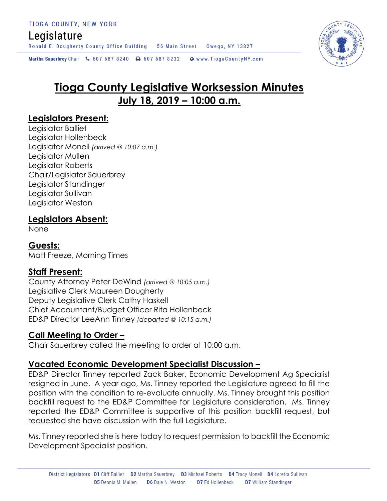# Legislature

Ronald E. Dougherty County Office Building 56 Main Street Owego, NY 13827

Martha Sauerbrey Chair & 607 687 8240 \ 607 687 8232 \ @ www.TiogaCountyNY.com

# **Tioga County Legislative Worksession Minutes July 18, 2019 – 10:00 a.m.**

# **Legislators Present:**

Legislator Balliet Legislator Hollenbeck Legislator Monell *(arrived @ 10:07 a.m.)* Legislator Mullen Legislator Roberts Chair/Legislator Sauerbrey Legislator Standinger Legislator Sullivan Legislator Weston

# **Legislators Absent:**

None

# **Guests:**

Matt Freeze, Morning Times

# **Staff Present:**

County Attorney Peter DeWind *(arrived @ 10:05 a.m.)* Legislative Clerk Maureen Dougherty Deputy Legislative Clerk Cathy Haskell Chief Accountant/Budget Officer Rita Hollenbeck ED&P Director LeeAnn Tinney *(departed @ 10:15 a.m.)*

# **Call Meeting to Order –**

Chair Sauerbrey called the meeting to order at 10:00 a.m.

# **Vacated Economic Development Specialist Discussion –**

ED&P Director Tinney reported Zack Baker, Economic Development Ag Specialist resigned in June. A year ago, Ms. Tinney reported the Legislature agreed to fill the position with the condition to re-evaluate annually. Ms. Tinney brought this position backfill request to the ED&P Committee for Legislature consideration. Ms. Tinney reported the ED&P Committee is supportive of this position backfill request, but requested she have discussion with the full Legislature.

Ms. Tinney reported she is here today to request permission to backfill the Economic Development Specialist position.

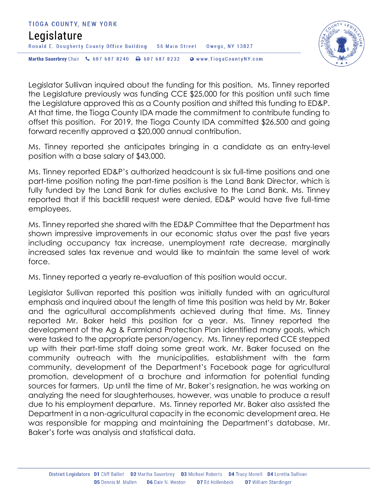#### TIOGA COUNTY, NEW YORK Legislature Ronald E. Dougherty County Office Building 56 Main Street Owego, NY 13827 Martha Sauerbrey Chair & 607 687 8240 <a>B</a>607 687 8232 <a>B</a>Www.TiogaCountyNY.com



Legislator Sullivan inquired about the funding for this position. Ms. Tinney reported the Legislature previously was funding CCE \$25,000 for this position until such time the Legislature approved this as a County position and shifted this funding to ED&P. At that time, the Tioga County IDA made the commitment to contribute funding to offset this position. For 2019, the Tioga County IDA committed \$26,500 and going forward recently approved a \$20,000 annual contribution.

Ms. Tinney reported she anticipates bringing in a candidate as an entry-level position with a base salary of \$43,000.

Ms. Tinney reported ED&P's authorized headcount is six full-time positions and one part-time position noting the part-time position is the Land Bank Director, which is fully funded by the Land Bank for duties exclusive to the Land Bank. Ms. Tinney reported that if this backfill request were denied, ED&P would have five full-time employees.

Ms. Tinney reported she shared with the ED&P Committee that the Department has shown impressive improvements in our economic status over the past five years including occupancy tax increase, unemployment rate decrease, marginally increased sales tax revenue and would like to maintain the same level of work force.

Ms. Tinney reported a yearly re-evaluation of this position would occur.

Legislator Sullivan reported this position was initially funded with an agricultural emphasis and inquired about the length of time this position was held by Mr. Baker and the agricultural accomplishments achieved during that time. Ms. Tinney reported Mr. Baker held this position for a year. Ms. Tinney reported the development of the Ag & Farmland Protection Plan identified many goals, which were tasked to the appropriate person/agency. Ms. Tinney reported CCE stepped up with their part-time staff doing some great work. Mr. Baker focused on the community outreach with the municipalities, establishment with the farm community, development of the Department's Facebook page for agricultural promotion, development of a brochure and information for potential funding sources for farmers. Up until the time of Mr. Baker's resignation, he was working on analyzing the need for slaughterhouses, however, was unable to produce a result due to his employment departure. Ms. Tinney reported Mr. Baker also assisted the Department in a non-agricultural capacity in the economic development area. He was responsible for mapping and maintaining the Department's database. Mr. Baker's forte was analysis and statistical data.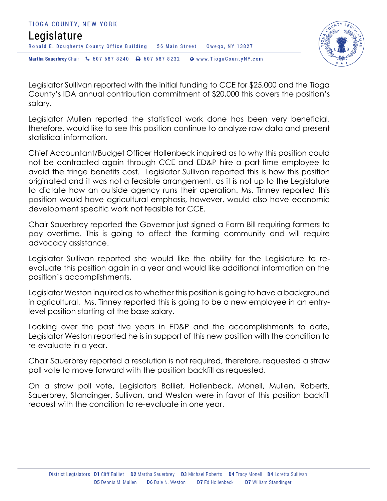



Legislator Sullivan reported with the initial funding to CCE for \$25,000 and the Tioga County's IDA annual contribution commitment of \$20,000 this covers the position's salary.

Legislator Mullen reported the statistical work done has been very beneficial, therefore, would like to see this position continue to analyze raw data and present statistical information.

Chief Accountant/Budget Officer Hollenbeck inquired as to why this position could not be contracted again through CCE and ED&P hire a part-time employee to avoid the fringe benefits cost. Legislator Sullivan reported this is how this position originated and it was not a feasible arrangement, as it is not up to the Legislature to dictate how an outside agency runs their operation. Ms. Tinney reported this position would have agricultural emphasis, however, would also have economic development specific work not feasible for CCE.

Chair Sauerbrey reported the Governor just signed a Farm Bill requiring farmers to pay overtime. This is going to affect the farming community and will require advocacy assistance.

Legislator Sullivan reported she would like the ability for the Legislature to reevaluate this position again in a year and would like additional information on the position's accomplishments.

Legislator Weston inquired as to whether this position is going to have a background in agricultural. Ms. Tinney reported this is going to be a new employee in an entrylevel position starting at the base salary.

Looking over the past five years in ED&P and the accomplishments to date, Legislator Weston reported he is in support of this new position with the condition to re-evaluate in a year.

Chair Sauerbrey reported a resolution is not required, therefore, requested a straw poll vote to move forward with the position backfill as requested.

On a straw poll vote, Legislators Balliet, Hollenbeck, Monell, Mullen, Roberts, Sauerbrey, Standinger, Sullivan, and Weston were in favor of this position backfill request with the condition to re-evaluate in one year.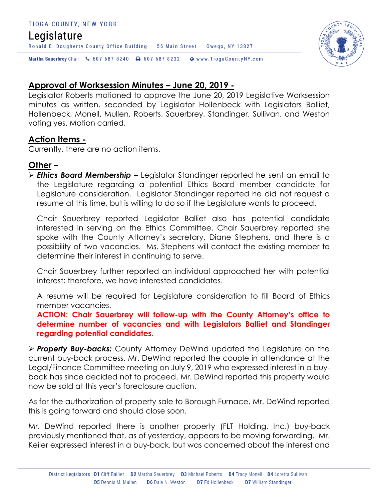#### TIOGA COUNTY, NEW YORK

# Legislature

Martha Sauerbrey Chair & 607 687 8240 <a>B</a>607 687 8232 <a>B</a>Www.TiogaCountyNY.com

Ronald E. Dougherty County Office Building 56 Main Street Owego, NY 13827

## **Approval of Worksession Minutes – June 20, 2019 -**

Legislator Roberts motioned to approve the June 20, 2019 Legislative Worksession minutes as written, seconded by Legislator Hollenbeck with Legislators Balliet, Hollenbeck, Monell, Mullen, Roberts, Sauerbrey, Standinger, Sullivan, and Weston voting yes. Motion carried.

#### **Action Items -**

Currently, there are no action items.

## **Other –**

 *Ethics Board Membership –* Legislator Standinger reported he sent an email to the Legislature regarding a potential Ethics Board member candidate for Legislature consideration. Legislator Standinger reported he did not request a resume at this time, but is willing to do so if the Legislature wants to proceed.

Chair Sauerbrey reported Legislator Balliet also has potential candidate interested in serving on the Ethics Committee. Chair Sauerbrey reported she spoke with the County Attorney's secretary, Diane Stephens, and there is a possibility of two vacancies. Ms. Stephens will contact the existing member to determine their interest in continuing to serve.

Chair Sauerbrey further reported an individual approached her with potential interest; therefore, we have interested candidates.

A resume will be required for Legislature consideration to fill Board of Ethics member vacancies.

**ACTION: Chair Sauerbrey will follow-up with the County Attorney's office to determine number of vacancies and with Legislators Balliet and Standinger regarding potential candidates.** 

 *Property Buy-backs:* County Attorney DeWind updated the Legislature on the current buy-back process. Mr. DeWind reported the couple in attendance at the Legal/Finance Committee meeting on July 9, 2019 who expressed interest in a buyback has since decided not to proceed. Mr. DeWind reported this property would now be sold at this year's foreclosure auction.

As for the authorization of property sale to Borough Furnace, Mr. DeWind reported this is going forward and should close soon.

Mr. DeWind reported there is another property (FLT Holding, Inc.) buy-back previously mentioned that, as of yesterday, appears to be moving forwarding. Mr. Keiler expressed interest in a buy-back, but was concerned about the interest and